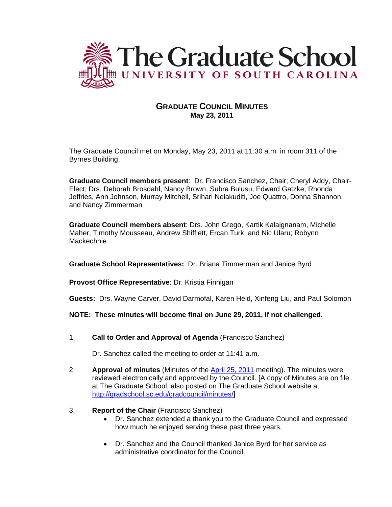

## **GRADUATE COUNCIL MINUTES May 23, 2011**

The Graduate Council met on Monday, May 23, 2011 at 11:30 a.m. in room 311 of the Byrnes Building.

**Graduate Council members present**: Dr. Francisco Sanchez, Chair; Cheryl Addy, Chair-Elect; Drs. Deborah Brosdahl, Nancy Brown, Subra Bulusu, Edward Gatzke, Rhonda Jeffries, Ann Johnson, Murray Mitchell, Srihari Nelakuditi, Joe Quattro, Donna Shannon, and Nancy Zimmerman

**Graduate Council members absent**: Drs. John Grego, Kartik Kalaignanam, Michelle Maher, Timothy Mousseau, Andrew Shifflett, Ercan Turk, and Nic Ularu; Robynn Mackechnie

**Graduate School Representatives:** Dr. Briana Timmerman and Janice Byrd

**Provost Office Representative**: Dr. Kristia Finnigan

**Guests:** Drs. Wayne Carver, David Darmofal, Karen Heid, Xinfeng Liu, and Paul Solomon

**NOTE: These minutes will become final on June 29, 2011, if not challenged.**

1. **Call to Order and Approval of Agenda** (Francisco Sanchez)

Dr. Sanchez called the meeting to order at 11:41 a.m.

- 2. **Approval of minutes** (Minutes of the [April 25, 2011](http://gradschool.sc.edu/gradcouncil/minutes/GCMinutes%20042511.pdf) meeting). The minutes were reviewed electronically and approved by the Council. [A copy of Minutes are on file at The Graduate School; also posted on The Graduate School website at [http://gradschool.sc.edu/gradcouncil/minutes/\]](http://gradschool.sc.edu/gradcouncil/minutes/)
- 3. **Report of the Chair** (Francisco Sanchez)
	- Dr. Sanchez extended a thank you to the Graduate Council and expressed how much he enjoyed serving these past three years.
	- Dr. Sanchez and the Council thanked Janice Byrd for her service as administrative coordinator for the Council.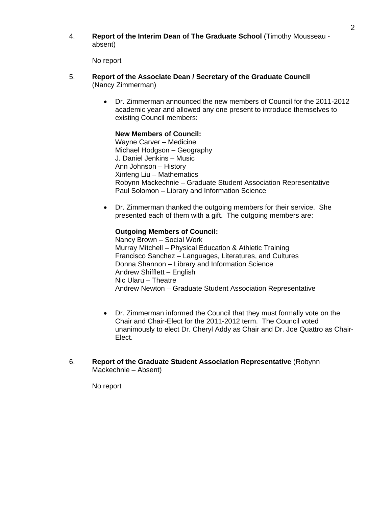4. **Report of the Interim Dean of The Graduate School** (Timothy Mousseau absent)

No report

- 5. **Report of the Associate Dean / Secretary of the Graduate Council**  (Nancy Zimmerman)
	- Dr. Zimmerman announced the new members of Council for the 2011-2012 academic year and allowed any one present to introduce themselves to existing Council members:

#### **New Members of Council:**

Wayne Carver – Medicine Michael Hodgson – Geography J. Daniel Jenkins – Music Ann Johnson – History Xinfeng Liu – Mathematics Robynn Mackechnie – Graduate Student Association Representative Paul Solomon – Library and Information Science

• Dr. Zimmerman thanked the outgoing members for their service. She presented each of them with a gift. The outgoing members are:

#### **Outgoing Members of Council:**

Nancy Brown – Social Work Murray Mitchell – Physical Education & Athletic Training Francisco Sanchez – Languages, Literatures, and Cultures Donna Shannon – Library and Information Science Andrew Shifflett – English Nic Ularu – Theatre Andrew Newton – Graduate Student Association Representative

- Dr. Zimmerman informed the Council that they must formally vote on the Chair and Chair-Elect for the 2011-2012 term. The Council voted unanimously to elect Dr. Cheryl Addy as Chair and Dr. Joe Quattro as Chair-Elect.
- 6. **Report of the Graduate Student Association Representative** (Robynn Mackechnie – Absent)

No report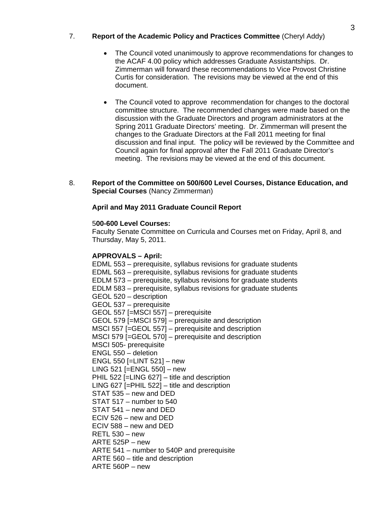## 7. **Report of the Academic Policy and Practices Committee** (Cheryl Addy)

- The Council voted unanimously to approve recommendations for changes to the ACAF 4.00 policy which addresses Graduate Assistantships. Dr. Zimmerman will forward these recommendations to Vice Provost Christine Curtis for consideration. The revisions may be viewed at the end of this document.
- The Council voted to approve recommendation for changes to the doctoral committee structure. The recommended changes were made based on the discussion with the Graduate Directors and program administrators at the Spring 2011 Graduate Directors' meeting. Dr. Zimmerman will present the changes to the Graduate Directors at the Fall 2011 meeting for final discussion and final input. The policy will be reviewed by the Committee and Council again for final approval after the Fall 2011 Graduate Director's meeting. The revisions may be viewed at the end of this document.
- 8. **Report of the Committee on 500/600 Level Courses, Distance Education, and Special Courses** (Nancy Zimmerman)

#### **April and May 2011 Graduate Council Report**

#### 5**00-600 Level Courses:**

Faculty Senate Committee on Curricula and Courses met on Friday, April 8, and Thursday, May 5, 2011.

#### **APPROVALS – April:**

EDML 553 – prerequisite, syllabus revisions for graduate students EDML 563 – prerequisite, syllabus revisions for graduate students EDLM 573 – prerequisite, syllabus revisions for graduate students EDLM 583 – prerequisite, syllabus revisions for graduate students GEOL 520 – description GEOL 537 – prerequisite GEOL 557 [=MSCI 557] – prerequisite GEOL 579 [=MSCI 579] – prerequisite and description MSCI 557 [=GEOL 557] – prerequisite and description MSCI 579 [=GEOL 570] – prerequisite and description MSCI 505- prerequisite ENGL 550 – deletion ENGL 550 [=LINT 521] – new LING 521 [=ENGL 550] – new PHIL 522 [=LING 627] – title and description LING 627 [=PHIL 522] – title and description STAT 535 – new and DED STAT 517 – number to 540 STAT 541 – new and DED ECIV 526 – new and DED ECIV 588 – new and DED RETL 530 – new ARTE 525P – new ARTE 541 – number to 540P and prerequisite ARTE 560 – title and description ARTE 560P – new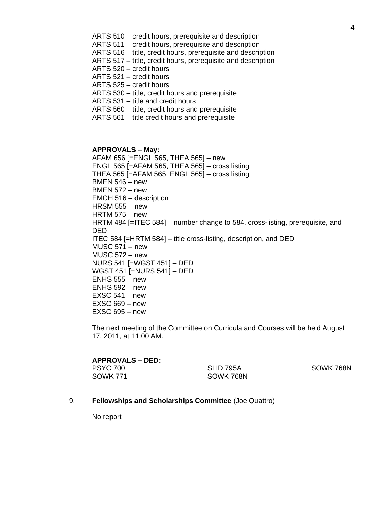- ARTS 510 credit hours, prerequisite and description
- ARTS 511 credit hours, prerequisite and description
- ARTS 516 title, credit hours, prerequisite and description
- ARTS 517 title, credit hours, prerequisite and description
- ARTS 520 credit hours
- ARTS 521 credit hours
- ARTS 525 credit hours
- ARTS 530 title, credit hours and prerequisite
- ARTS 531 title and credit hours
- ARTS 560 title, credit hours and prerequisite
- ARTS 561 title credit hours and prerequisite

#### **APPROVALS – May:**

AFAM 656 [=ENGL 565, THEA 565] – new ENGL 565 [=AFAM 565, THEA 565] – cross listing THEA 565 [=AFAM 565, ENGL 565] – cross listing BMEN 546 – new BMEN 572 – new EMCH 516 – description HRSM 555 – new HRTM 575 – new HRTM 484 [=ITEC 584] – number change to 584, cross-listing, prerequisite, and DED ITEC 584 [=HRTM 584] – title cross-listing, description, and DED MUSC 571 – new MUSC 572 – new NURS 541 [=WGST 451] – DED WGST 451 [=NURS 541] – DED ENHS 555 – new ENHS 592 – new  $EXSC 541 - new$ EXSC 669 – new EXSC 695 – new

The next meeting of the Committee on Curricula and Courses will be held August 17, 2011, at 11:00 AM.

| <b>APPROVALS – DED:</b> |           |           |
|-------------------------|-----------|-----------|
| PSYC 700                | SLID 795A | SOWK 768N |
| SOWK 771                | SOWK 768N |           |

9. **Fellowships and Scholarships Committee** (Joe Quattro)

No report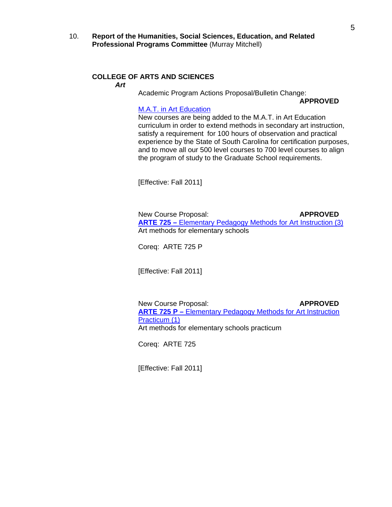10. **Report of the Humanities, Social Sciences, Education, and Related Professional Programs Committee** (Murray Mitchell)

#### **COLLEGE OF ARTS AND SCIENCES**

*Art* 

Academic Program Actions Proposal/Bulletin Change:

**APPROVED**

#### [M.A.T. in Art Education](http://gradschool.sc.edu/gradcouncil/curr_docs/APAMATARTEDUCATION_201111.pdf)

New courses are being added to the M.A.T. in Art Education curriculum in order to extend methods in secondary art instruction, satisfy a requirement for 100 hours of observation and practical experience by the State of South Carolina for certification purposes, and to move all our 500 level courses to 700 level courses to align the program of study to the Graduate School requirements.

[Effective: Fall 2011]

New Course Proposal: **APPROVED ARTE 725 –** [Elementary Pedagogy Methods for Art Instruction \(3\)](http://gradschool.sc.edu/gradcouncil/curr_docs/NCPARTE725_201111.pdf) Art methods for elementary schools

Coreq: ARTE 725 P

[Effective: Fall 2011]

New Course Proposal: **APPROVED ARTE 725 P –** [Elementary Pedagogy Methods for Art Instruction](http://gradschool.sc.edu/gradcouncil/curr_docs/NCPARTE725P_201111.pdf)  [Practicum \(1\)](http://gradschool.sc.edu/gradcouncil/curr_docs/NCPARTE725P_201111.pdf) Art methods for elementary schools practicum

Coreq: ARTE 725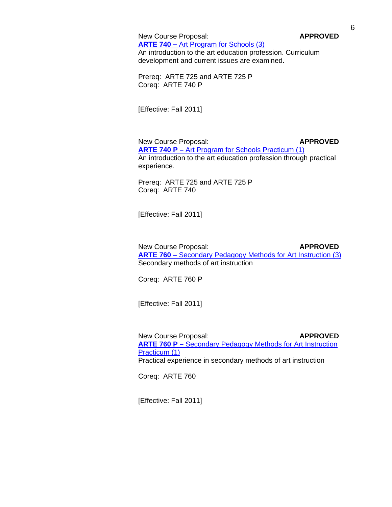New Course Proposal: **APPROVED** 

 **ARTE 740 –** [Art Program for Schools \(3\)](http://gradschool.sc.edu/gradcouncil/curr_docs/NCPARTE740_201111.pdf) An introduction to the art education profession. Curriculum development and current issues are examined.

Prereq: ARTE 725 and ARTE 725 P Coreq: ARTE 740 P

[Effective: Fall 2011]

New Course Proposal: **APPROVED ARTE 740 P –** [Art Program for Schools Practicum \(1\)](http://gradschool.sc.edu/gradcouncil/curr_docs/NCPARTE741_201111.pdf) An introduction to the art education profession through practical experience.

Prereq: ARTE 725 and ARTE 725 P Coreq: ARTE 740

[Effective: Fall 2011]

New Course Proposal: **APPROVED ARTE 760 –** [Secondary Pedagogy Methods for Art Instruction \(3\)](http://gradschool.sc.edu/gradcouncil/curr_docs/NCPARTE760_2011111.pdf) Secondary methods of art instruction

Coreq: ARTE 760 P

[Effective: Fall 2011]

**New Course Proposal: APPROVED ARTE 760 P –** [Secondary Pedagogy Methods for Art Instruction](http://gradschool.sc.edu/gradcouncil/curr_docs/NCPARTE760P_201111.pdf)  [Practicum \(1\)](http://gradschool.sc.edu/gradcouncil/curr_docs/NCPARTE760P_201111.pdf) **Practical experience in secondary methods of art instruction** 

Coreq: ARTE 760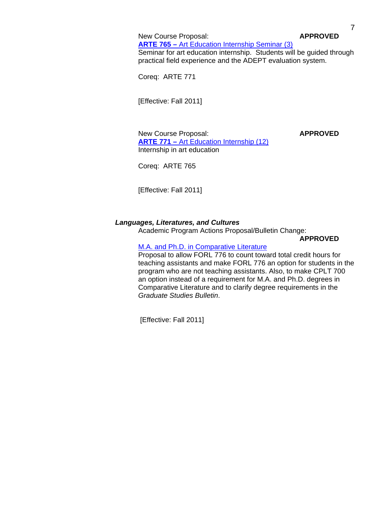New Course Proposal: **APPROVED ARTE 765 –** [Art Education Internship Seminar \(3\)](http://gradschool.sc.edu/gradcouncil/curr_docs/NCPARTE765_201111.pdf) Seminar for art education internship. Students will be guided through practical field experience and the ADEPT evaluation system.

Coreq: ARTE 771

[Effective: Fall 2011]

New Course Proposal: **APPROVED ARTE 771 –** [Art Education Internship \(12\)](http://gradschool.sc.edu/gradcouncil/curr_docs/NCPARTE771_201111.pdf) Internship in art education

Coreq: ARTE 765

[Effective: Fall 2011]

#### *Languages, Literatures, and Cultures*

Academic Program Actions Proposal/Bulletin Change:

**APPROVED**

# [M.A. and Ph.D. in Comparative Literature](http://gradschool.sc.edu/gradcouncil/curr_docs/APAMAPhDComparativeLit_201111.pdf)

Proposal to allow FORL 776 to count toward total credit hours for teaching assistants and make FORL 776 an option for students in the program who are not teaching assistants. Also, to make CPLT 700 an option instead of a requirement for M.A. and Ph.D. degrees in Comparative Literature and to clarify degree requirements in the *Graduate Studies Bulletin*.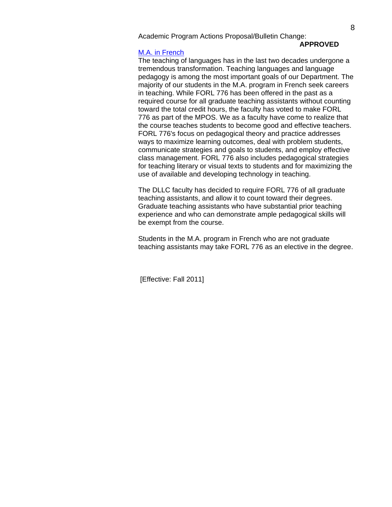# **APPROVED**

#### [M.A. in French](http://gradschool.sc.edu/gradcouncil/curr_docs/APAMAFrench_201111.pdf)

The teaching of languages has in the last two decades undergone a tremendous transformation. Teaching languages and language pedagogy is among the most important goals of our Department. The majority of our students in the M.A. program in French seek careers in teaching. While FORL 776 has been offered in the past as a required course for all graduate teaching assistants without counting toward the total credit hours, the faculty has voted to make FORL 776 as part of the MPOS. We as a faculty have come to realize that the course teaches students to become good and effective teachers. FORL 776's focus on pedagogical theory and practice addresses ways to maximize learning outcomes, deal with problem students, communicate strategies and goals to students, and employ effective class management. FORL 776 also includes pedagogical strategies for teaching literary or visual texts to students and for maximizing the use of available and developing technology in teaching.

The DLLC faculty has decided to require FORL 776 of all graduate teaching assistants, and allow it to count toward their degrees. Graduate teaching assistants who have substantial prior teaching experience and who can demonstrate ample pedagogical skills will be exempt from the course.

Students in the M.A. program in French who are not graduate teaching assistants may take FORL 776 as an elective in the degree.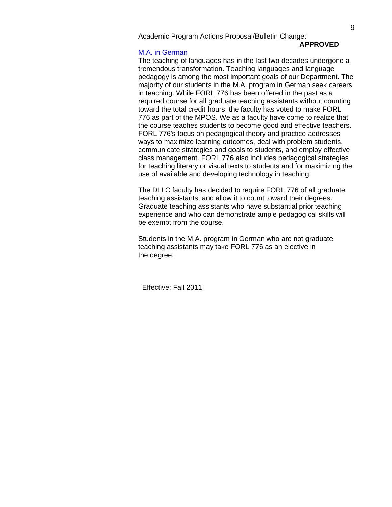# **APPROVED**

#### [M.A. in German](http://gradschool.sc.edu/gradcouncil/curr_docs/APAMAGerman_201111.pdf)

The teaching of languages has in the last two decades undergone a tremendous transformation. Teaching languages and language pedagogy is among the most important goals of our Department. The majority of our students in the M.A. program in German seek careers in teaching. While FORL 776 has been offered in the past as a required course for all graduate teaching assistants without counting toward the total credit hours, the faculty has voted to make FORL 776 as part of the MPOS. We as a faculty have come to realize that the course teaches students to become good and effective teachers. FORL 776's focus on pedagogical theory and practice addresses ways to maximize learning outcomes, deal with problem students, communicate strategies and goals to students, and employ effective class management. FORL 776 also includes pedagogical strategies for teaching literary or visual texts to students and for maximizing the use of available and developing technology in teaching.

The DLLC faculty has decided to require FORL 776 of all graduate teaching assistants, and allow it to count toward their degrees. Graduate teaching assistants who have substantial prior teaching experience and who can demonstrate ample pedagogical skills will be exempt from the course.

Students in the M.A. program in German who are not graduate teaching assistants may take FORL 776 as an elective in the degree.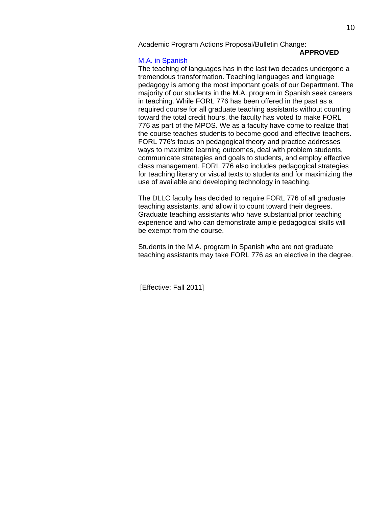#### **APPROVED**

#### [M.A. in Spanish](http://gradschool.sc.edu/gradcouncil/curr_docs/APAMASpanish_201111.pdf)

The teaching of languages has in the last two decades undergone a tremendous transformation. Teaching languages and language pedagogy is among the most important goals of our Department. The majority of our students in the M.A. program in Spanish seek careers in teaching. While FORL 776 has been offered in the past as a required course for all graduate teaching assistants without counting toward the total credit hours, the faculty has voted to make FORL 776 as part of the MPOS. We as a faculty have come to realize that the course teaches students to become good and effective teachers. FORL 776's focus on pedagogical theory and practice addresses ways to maximize learning outcomes, deal with problem students, communicate strategies and goals to students, and employ effective class management. FORL 776 also includes pedagogical strategies for teaching literary or visual texts to students and for maximizing the use of available and developing technology in teaching.

The DLLC faculty has decided to require FORL 776 of all graduate teaching assistants, and allow it to count toward their degrees. Graduate teaching assistants who have substantial prior teaching experience and who can demonstrate ample pedagogical skills will be exempt from the course.

Students in the M.A. program in Spanish who are not graduate teaching assistants may take FORL 776 as an elective in the degree.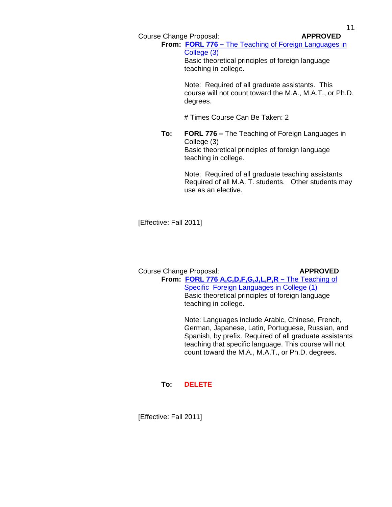Course Change Proposal: **APPROVED**

**From: FORL 776 –** [The Teaching of Foreign Languages in](http://gradschool.sc.edu/gradcouncil/curr_docs/CCPFORL776(2)_201111.pdf)  [College \(3\)](http://gradschool.sc.edu/gradcouncil/curr_docs/CCPFORL776(2)_201111.pdf) Basic theoretical principles of foreign language

teaching in college.

Note: Required of all graduate assistants. This course will not count toward the M.A., M.A.T., or Ph.D. degrees.

# Times Course Can Be Taken: 2

**To: FORL 776 –** The Teaching of Foreign Languages in College (3) Basic theoretical principles of foreign language teaching in college.

> Note: Required of all graduate teaching assistants. Required of all M.A. T. students. Other students may use as an elective.

[Effective: Fall 2011]

#### Course Change Proposal: **APPROVED From: [FORL 776 A,C,D,F,G,J,L,P,R –](http://gradschool.sc.edu/gradcouncil/curr_docs/CCPFORL776_201111.pdf)** The Teaching of

[Specific Foreign Languages in College \(1\)](http://gradschool.sc.edu/gradcouncil/curr_docs/CCPFORL776_201111.pdf) Basic theoretical principles of foreign language teaching in college.

Note: Languages include Arabic, Chinese, French, German, Japanese, Latin, Portuguese, Russian, and Spanish, by prefix. Required of all graduate assistants teaching that specific language. This course will not count toward the M.A., M.A.T., or Ph.D. degrees.

#### **To: DELETE**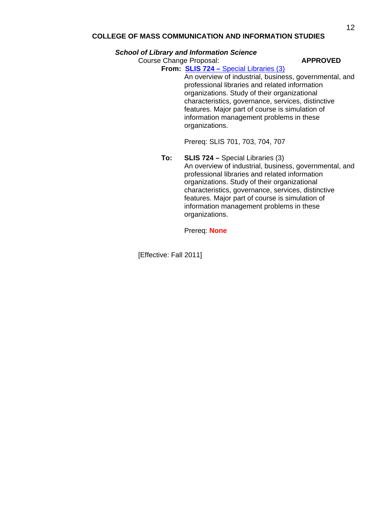#### **COLLEGE OF MASS COMMUNICATION AND INFORMATION STUDIES**

#### *School of Library and Information Science*

Course Change Proposal: **APPROVED**

**From: SLIS 724 –** [Special Libraries \(3\)](http://gradschool.sc.edu/gradcouncil/curr_docs/CCPSLIS724_201111.pdf)

An overview of industrial, business, governmental, and professional libraries and related information organizations. Study of their organizational characteristics, governance, services, distinctive features. Major part of course is simulation of information management problems in these organizations.

Prereq: SLIS 701, 703, 704, 707

**To: SLIS 724 –** Special Libraries (3) An overview of industrial, business, governmental, and professional libraries and related information organizations. Study of their organizational characteristics, governance, services, distinctive features. Major part of course is simulation of information management problems in these organizations.

Prereq: **None**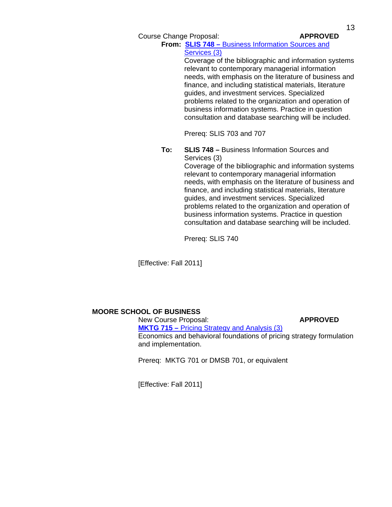Course Change Proposal: **APPROVED** 

**From: SLIS 748 –** [Business Information Sources and](http://gradschool.sc.edu/gradcouncil/curr_docs/CCPSLIS748_201111.pdf)  [Services \(3\)](http://gradschool.sc.edu/gradcouncil/curr_docs/CCPSLIS748_201111.pdf)

> Coverage of the bibliographic and information systems relevant to contemporary managerial information needs, with emphasis on the literature of business and finance, and including statistical materials, literature guides, and investment services. Specialized problems related to the organization and operation of business information systems. Practice in question consultation and database searching will be included.

Prereq: SLIS 703 and 707

**To: SLIS 748 –** Business Information Sources and Services (3)

Coverage of the bibliographic and information systems relevant to contemporary managerial information needs, with emphasis on the literature of business and finance, and including statistical materials, literature guides, and investment services. Specialized problems related to the organization and operation of business information systems. Practice in question consultation and database searching will be included.

Prereq: SLIS 740

[Effective: Fall 2011]

## **MOORE SCHOOL OF BUSINESS**

New Course Proposal: **APPROVED MKTG 715 –** [Pricing Strategy and Analysis \(3\)](http://gradschool.sc.edu/gradcouncil/curr_docs/NCPMKTG715_201111.pdf) Economics and behavioral foundations of pricing strategy formulation and implementation.

Prereq: MKTG 701 or DMSB 701, or equivalent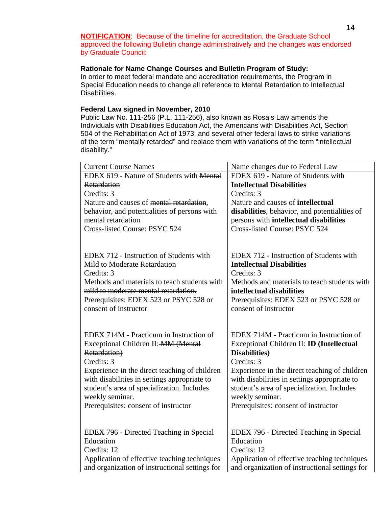**NOTIFICATION**: Because of the timeline for accreditation, the Graduate School approved the following Bulletin change administratively and the changes was endorsed by Graduate Council:

#### **Rationale for Name Change Courses and Bulletin Program of Study:**

In order to meet federal mandate and accreditation requirements, the Program in Special Education needs to change all reference to Mental Retardation to Intellectual Disabilities.

#### **Federal Law signed in November, 2010**

Public Law No. 111-256 (P.L. 111-256), also known as Rosa's Law amends the Individuals with Disabilities Education Act, the Americans with Disabilities Act, Section 504 of the Rehabilitation Act of 1973, and several other federal laws to strike variations of the term "mentally retarded" and replace them with variations of the term "intellectual disability."

| <b>Current Course Names</b>                       | Name changes due to Federal Law                |  |
|---------------------------------------------------|------------------------------------------------|--|
| EDEX 619 - Nature of Students with Mental         | EDEX 619 - Nature of Students with             |  |
| Retardation                                       | <b>Intellectual Disabilities</b>               |  |
| Credits: 3                                        | Credits: 3                                     |  |
| Nature and causes of mental retardation,          | Nature and causes of intellectual              |  |
| behavior, and potentialities of persons with      | disabilities, behavior, and potentialities of  |  |
| mental retardation                                | persons with intellectual disabilities         |  |
| Cross-listed Course: PSYC 524                     | Cross-listed Course: PSYC 524                  |  |
|                                                   |                                                |  |
|                                                   |                                                |  |
| EDEX 712 - Instruction of Students with           | EDEX 712 - Instruction of Students with        |  |
| <b>Mild to Moderate Retardation</b><br>Credits: 3 | <b>Intellectual Disabilities</b><br>Credits: 3 |  |
| Methods and materials to teach students with      | Methods and materials to teach students with   |  |
| mild to moderate mental retardation.              | intellectual disabilities                      |  |
| Prerequisites: EDEX 523 or PSYC 528 or            | Prerequisites: EDEX 523 or PSYC 528 or         |  |
| consent of instructor                             | consent of instructor                          |  |
|                                                   |                                                |  |
|                                                   |                                                |  |
| EDEX 714M - Practicum in Instruction of           | EDEX 714M - Practicum in Instruction of        |  |
| Exceptional Children II: MM (Mental               | Exceptional Children II: ID (Intellectual      |  |
| Retardation)                                      | <b>Disabilities</b> )                          |  |
| Credits: 3                                        | Credits: 3                                     |  |
| Experience in the direct teaching of children     | Experience in the direct teaching of children  |  |
| with disabilities in settings appropriate to      | with disabilities in settings appropriate to   |  |
| student's area of specialization. Includes        | student's area of specialization. Includes     |  |
| weekly seminar.                                   | weekly seminar.                                |  |
| Prerequisites: consent of instructor              | Prerequisites: consent of instructor           |  |
|                                                   |                                                |  |
|                                                   |                                                |  |
| EDEX 796 - Directed Teaching in Special           | EDEX 796 - Directed Teaching in Special        |  |
| Education                                         | Education                                      |  |
| Credits: 12                                       | Credits: 12                                    |  |
| Application of effective teaching techniques      | Application of effective teaching techniques   |  |
| and organization of instructional settings for    | and organization of instructional settings for |  |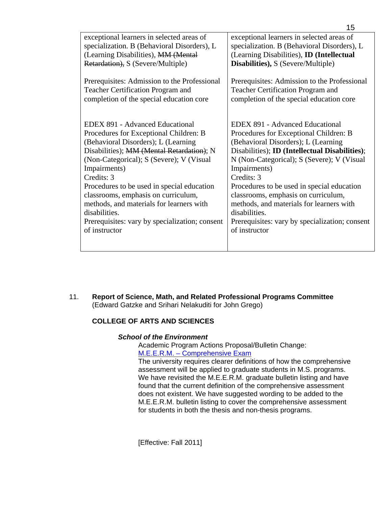| exceptional learners in selected areas of      | exceptional learners in selected areas of             |
|------------------------------------------------|-------------------------------------------------------|
| specialization. B (Behavioral Disorders), L    | specialization. B (Behavioral Disorders), L           |
| (Learning Disabilities), MM (Mental            | (Learning Disabilities), <b>ID</b> (Intellectual      |
| Retardation), S (Severe/Multiple)              | <b>Disabilities</b> ), S (Severe/Multiple)            |
|                                                |                                                       |
| Prerequisites: Admission to the Professional   | Prerequisites: Admission to the Professional          |
| Teacher Certification Program and              | <b>Teacher Certification Program and</b>              |
| completion of the special education core       | completion of the special education core              |
|                                                |                                                       |
|                                                |                                                       |
| <b>EDEX 891 - Advanced Educational</b>         | <b>EDEX 891 - Advanced Educational</b>                |
| Procedures for Exceptional Children: B         | Procedures for Exceptional Children: B                |
| (Behavioral Disorders); L (Learning            | (Behavioral Disorders); L (Learning                   |
| Disabilities); MM (Mental Retardation); N      | Disabilities); <b>ID</b> (Intellectual Disabilities); |
| (Non-Categorical); S (Severe); V (Visual)      | N (Non-Categorical); S (Severe); V (Visual)           |
| Impairments)                                   | Impairments)                                          |
| Credits: 3                                     | Credits: 3                                            |
| Procedures to be used in special education     | Procedures to be used in special education            |
| classrooms, emphasis on curriculum,            | classrooms, emphasis on curriculum,                   |
| methods, and materials for learners with       | methods, and materials for learners with              |
| disabilities.                                  | disabilities.                                         |
| Prerequisites: vary by specialization; consent | Prerequisites: vary by specialization; consent        |
| of instructor                                  | of instructor                                         |
|                                                |                                                       |
|                                                |                                                       |

11. **Report of Science, Math, and Related Professional Programs Committee** (Edward Gatzke and Srihari Nelakuditi for John Grego)

## **COLLEGE OF ARTS AND SCIENCES**

## *School of the Environment*

 Academic Program Actions Proposal/Bulletin Change: [M.E.E.R.M. – Comprehensive Exam](http://gradschool.sc.edu/gradcouncil/curr_docs/APAMEERM_201111.pdf)

The university requires clearer definitions of how the comprehensive assessment will be applied to graduate students in M.S. programs. We have revisited the M.E.E.R.M. graduate bulletin listing and have found that the current definition of the comprehensive assessment does not existent. We have suggested wording to be added to the M.E.E.R.M. bulletin listing to cover the comprehensive assessment for students in both the thesis and non-thesis programs.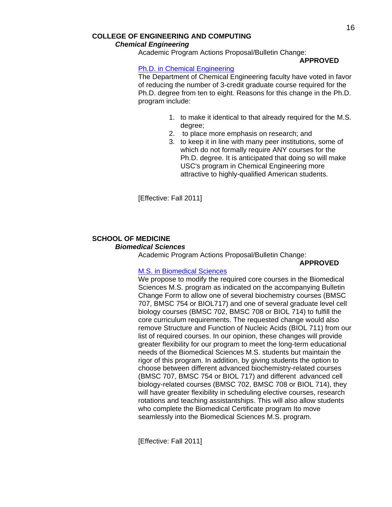#### **APPROVED**

#### [Ph.D. in Chemical Engineering](http://gradschool.sc.edu/gradcouncil/curr_docs/APAPhDChemicalEng_201111.pdf)

The Department of Chemical Engineering faculty have voted in favor of reducing the number of 3-credit graduate course required for the Ph.D. degree from ten to eight. Reasons for this change in the Ph.D. program include:

- 1. to make it identical to that already required for the M.S. degree;
- 2. to place more emphasis on research; and
- 3. to keep it in line with many peer institutions, some of which do not formally require ANY courses for the Ph.D. degree. It is anticipated that doing so will make USC's program in Chemical Engineering more attractive to highly-qualified American students.

[Effective: Fall 2011]

### **SCHOOL OF MEDICINE**   *Biomedical Sciences*

Academic Program Actions Proposal/Bulletin Change:

## **APPROVED**

## [M.S. in Biomedical Sciences](http://gradschool.sc.edu/gradcouncil/curr_docs/APAMSBiomedicalSciences_201111.pdf)

 We propose to modify the required core courses in the Biomedical Sciences M.S. program as indicated on the accompanying Bulletin Change Form to allow one of several biochemistry courses (BMSC 707, BMSC 754 or BIOL717) and one of several graduate level cell biology courses (BMSC 702, BMSC 708 or BIOL 714) to fulfill the core curriculum requirements. The requested change would also remove Structure and Function of Nucleic Acids (BIOL 711) from our list of required courses. In our opinion, these changes will provide greater flexibility for our program to meet the long-term educational needs of the Biomedical Sciences M.S. students but maintain the rigor of this program. In addition, by giving students the option to choose between different advanced biochemistry-related courses (BMSC 707, BMSC 754 or BIOL 717) and different advanced cell biology-related courses (BMSC 702, BMSC 708 or BIOL 714), they will have greater flexibility in scheduling elective courses, research rotations and teaching assistantships. This will also allow students who complete the Biomedical Certificate program Ito move seamlessly into the Biomedical Sciences M.S. program.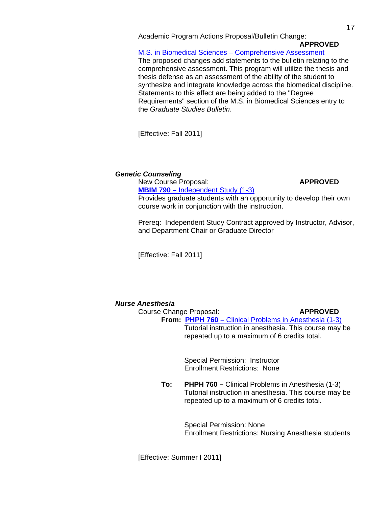#### **APPROVED**

[M.S. in Biomedical Sciences – Comprehensive Assessment](http://gradschool.sc.edu/gradcouncil/curr_docs/APAMSBiomedicalSciencesCompAss_201111.pdf)

The proposed changes add statements to the bulletin relating to the comprehensive assessment. This program will utilize the thesis and thesis defense as an assessment of the ability of the student to synthesize and integrate knowledge across the biomedical discipline. Statements to this effect are being added to the "Degree Requirements" section of the M.S. in Biomedical Sciences entry to the *Graduate Studies Bulletin*.

[Effective: Fall 2011]

#### *Genetic Counseling*

New Course Proposal: **APPROVED** 

 **MBIM 790 –** [Independent Study \(1-3\)](http://gradschool.sc.edu/gradcouncil/curr_docs/NCPMBIM790_201111.pdf) Provides graduate students with an opportunity to develop their own course work in conjunction with the instruction.

Prereq: Independent Study Contract approved by Instructor, Advisor, and Department Chair or Graduate Director

[Effective: Fall 2011]

## *Nurse Anesthesia*

 Course Change Proposal: **APPROVED From: PHPH 760 – [Clinical Problems in Anesthesia \(1-3\)](http://gradschool.sc.edu/gradcouncil/curr_docs/CCPPHPH760_201111.pdf)** Tutorial instruction in anesthesia. This course may be repeated up to a maximum of 6 credits total.

> Special Permission: Instructor Enrollment Restrictions: None

**To: PHPH 760 –** Clinical Problems in Anesthesia (1-3) Tutorial instruction in anesthesia. This course may be repeated up to a maximum of 6 credits total.

> Special Permission: None Enrollment Restrictions: Nursing Anesthesia students

[Effective: Summer I 2011]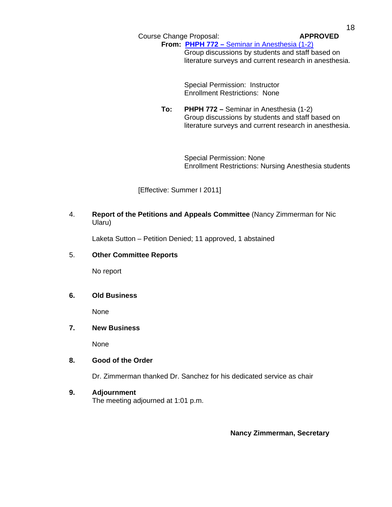Course Change Proposal: **APPROVED**

**From: PHPH 772 – [Seminar in Anesthesia \(1-2\)](http://gradschool.sc.edu/gradcouncil/curr_docs/CCPPHPH772_201111.pdf)** Group discussions by students and staff based on literature surveys and current research in anesthesia.

> Special Permission: Instructor Enrollment Restrictions: None

**To: PHPH 772 –** Seminar in Anesthesia (1-2) Group discussions by students and staff based on literature surveys and current research in anesthesia.

> Special Permission: None Enrollment Restrictions: Nursing Anesthesia students

[Effective: Summer I 2011]

4. **Report of the Petitions and Appeals Committee** (Nancy Zimmerman for Nic Ularu)

Laketa Sutton – Petition Denied; 11 approved, 1 abstained

## 5. **Other Committee Reports**

No report

## **6. Old Business**

None

# **7. New Business**

None

## **8. Good of the Order**

Dr. Zimmerman thanked Dr. Sanchez for his dedicated service as chair

## **9. Adjournment**

The meeting adjourned at 1:01 p.m.

**Nancy Zimmerman, Secretary**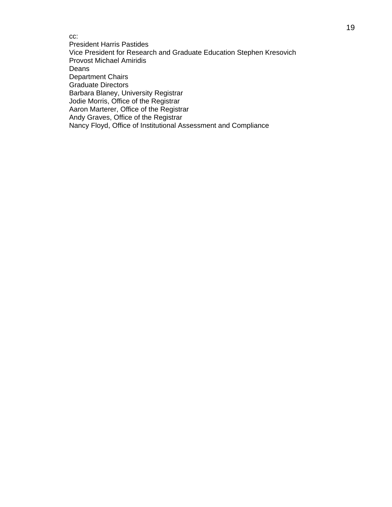cc: President Harris Pastides Vice President for Research and Graduate Education Stephen Kresovich Provost Michael Amiridis Deans Department Chairs Graduate Directors Barbara Blaney, University Registrar Jodie Morris, Office of the Registrar Aaron Marterer, Office of the Registrar Andy Graves, Office of the Registrar Nancy Floyd, Office of Institutional Assessment and Compliance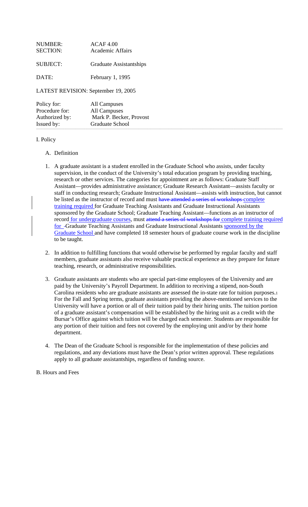| NIIMBER:<br><b>SECTION:</b>         | ACAF 4.00<br>Academic Affairs |  |
|-------------------------------------|-------------------------------|--|
| SUBJECT:                            | Graduate Assistantships       |  |
| DATE:                               | February 1, 1995              |  |
| LATEST REVISION: September 19, 2005 |                               |  |
| $Dol$ iau for                       | $\Lambda$ ll Compusso         |  |

| Policy for:    | All Campuses            |
|----------------|-------------------------|
| Procedure for: | All Campuses            |
| Authorized by: | Mark P. Becker, Provost |
| Issued by:     | Graduate School         |

## I. Policy

## A. Definition

- 1. A graduate assistant is a student enrolled in the Graduate School who assists, under faculty supervision, in the conduct of the University's total education program by providing teaching, research or other services. The categories for appointment are as follows: Graduate Staff Assistant—provides administrative assistance; Graduate Research Assistant—assists faculty or staff in conducting research; Graduate Instructional Assistant—assists with instruction, but cannot be listed as the instructor of record and must have attended a series of workshops complete training required for Graduate Teaching Assistants and Graduate Instructional Assistants sponsored by the Graduate School; Graduate Teaching Assistant—functions as an instructor of record for undergraduate courses, must attend a series of workshops for complete training required for -Graduate Teaching Assistants and Graduate Instructional Assistants sponsored by the Graduate School and have completed 18 semester hours of graduate course work in the discipline to be taught.
- 2. In addition to fulfilling functions that would otherwise be performed by regular faculty and staff members, graduate assistants also receive valuable practical experience as they prepare for future teaching, research, or administrative responsibilities.
- 3. Graduate assistants are students who are special part-time employees of the University and are paid by the University's Payroll Department. In addition to receiving a stipend, non-South Carolina residents who are graduate assistants are assessed the in-state rate for tuition purposes.1 For the Fall and Spring terms, graduate assistants providing the above-mentioned services to the University will have a portion or all of their tuition paid by their hiring units. The tuition portion of a graduate assistant's compensation will be established by the hiring unit as a credit with the Bursar's Office against which tuition will be charged each semester. Students are responsible for any portion of their tuition and fees not covered by the employing unit and/or by their home department.
- 4. The Dean of the Graduate School is responsible for the implementation of these policies and regulations, and any deviations must have the Dean's prior written approval. These regulations apply to all graduate assistantships, regardless of funding source.

B. Hours and Fees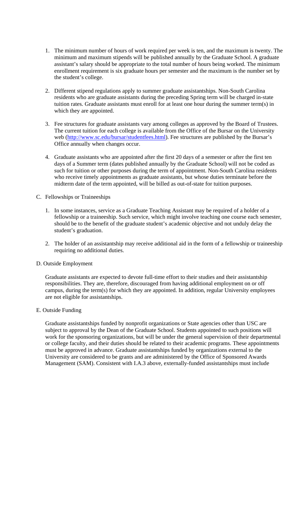- 1. The minimum number of hours of work required per week is ten, and the maximum is twenty. The minimum and maximum stipends will be published annually by the Graduate School. A graduate assistant's salary should be appropriate to the total number of hours being worked. The minimum enrollment requirement is six graduate hours per semester and the maximum is the number set by the student's college.
- 2. Different stipend regulations apply to summer graduate assistantships. Non-South Carolina residents who are graduate assistants during the preceding Spring term will be charged in-state tuition rates. Graduate assistants must enroll for at least one hour during the summer term(s) in which they are appointed.
- 3. Fee structures for graduate assistants vary among colleges as approved by the Board of Trustees. The current tuition for each college is available from the Office of the Bursar on the University web (http://www.sc.edu/bursar/studentfees.html). Fee structures are published by the Bursar's Office annually when changes occur.
- 4. Graduate assistants who are appointed after the first 20 days of a semester or after the first ten days of a Summer term (dates published annually by the Graduate School) will not be coded as such for tuition or other purposes during the term of appointment. Non-South Carolina residents who receive timely appointments as graduate assistants, but whose duties terminate before the midterm date of the term appointed, will be billed as out-of-state for tuition purposes.
- C. Fellowships or Traineeships
	- 1. In some instances, service as a Graduate Teaching Assistant may be required of a holder of a fellowship or a traineeship. Such service, which might involve teaching one course each semester, should be to the benefit of the graduate student's academic objective and not unduly delay the student's graduation.
	- 2. The holder of an assistantship may receive additional aid in the form of a fellowship or traineeship requiring no additional duties.
- D. Outside Employment

Graduate assistants are expected to devote full-time effort to their studies and their assistantship responsibilities. They are, therefore, discouraged from having additional employment on or off campus, during the term(s) for which they are appointed. In addition, regular University employees are not eligible for assistantships.

E. Outside Funding

Graduate assistantships funded by nonprofit organizations or State agencies other than USC are subject to approval by the Dean of the Graduate School. Students appointed to such positions will work for the sponsoring organizations, but will be under the general supervision of their departmental or college faculty, and their duties should be related to their academic programs. These appointments must be approved in advance. Graduate assistantships funded by organizations external to the University are considered to be grants and are administered by the Office of Sponsored Awards Management (SAM). Consistent with I.A.3 above, externally-funded assistantships must include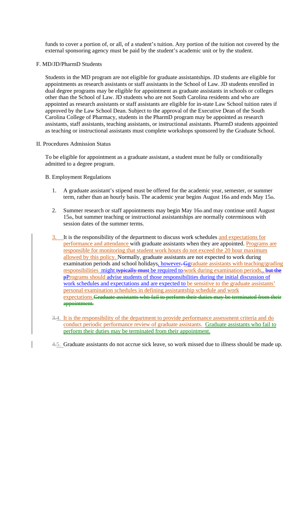funds to cover a portion of, or all, of a student's tuition. Any portion of the tuition not covered by the external sponsoring agency must be paid by the student's academic unit or by the student.

## F. MD/JD/PharmD Students

Students in the MD program are not eligible for graduate assistantships. JD students are eligible for appointments as research assistants or staff assistants in the School of Law. JD students enrolled in dual degree programs may be eligible for appointment as graduate assistants in schools or colleges other than the School of Law. JD students who are not South Carolina residents and who are appointed as research assistants or staff assistants are eligible for in-state Law School tuition rates if approved by the Law School Dean. Subject to the approval of the Executive Dean of the South Carolina College of Pharmacy, students in the PharmD program may be appointed as research assistants, staff assistants, teaching assistants, or instructional assistants. PharmD students appointed as teaching or instructional assistants must complete workshops sponsored by the Graduate School.

#### II. Procedures Admission Status

To be eligible for appointment as a graduate assistant, a student must be fully or conditionally admitted to a degree program.

## B. Employment Regulations

- 1. A graduate assistant's stipend must be offered for the academic year, semester, or summer term, rather than an hourly basis. The academic year begins August 16th and ends May 15th.
- 2. Summer research or staff appointments may begin May 16th and may continue until August 15th, but summer teaching or instructional assistantships are normally coterminous with session dates of the summer terms.
- 3. It is the responsibility of the department to discuss work schedules and expectations for performance and attendance with graduate assistants when they are appointed. Programs are responsible for monitoring that student work hours do not exceed the 20 hour maximum allowed by this policy. Normally, graduate assistants are not expected to work during examination periods and school holidays, however. Ggraduate assistants with teaching/grading responsibilities might typically must be required to-work during examination periods., but the **pPrograms should advise students of those responsibilities during the initial discussion of** work schedules and expectations and are expected to be sensitive to the graduate assistants' personal examination schedules in defining assistantship schedule and work expectations. Graduate assistants who fail to perform their duties may be terminated from their appointment.
- 3.4. It is the responsibility of the department to provide performance assessment criteria and do conduct periodic performance review of graduate assistants. Graduate assistants who fail to perform their duties may be terminated from their appointment.

4.5. Graduate assistants do not accrue sick leave, so work missed due to illness should be made up.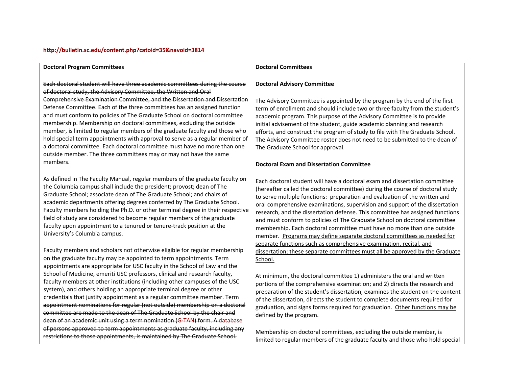#### **<http://bulletin.sc.edu/content.php?catoid=35&navoid=3814>**

#### **Doctoral Program Committees**

Each doctoral student will have three academic committees during the course of doctoral study, the Advisory Committee, the Written and Oral Comprehensive Examination Committee, and the Dissertation and Dissertation Defense Committee. Each of the three committees has an assigned function and must conform to policies of The Graduate School on doctoral committee membership. Membership on doctoral committees, excluding the outside member, is limited to regular members of the graduate faculty and those who hold special term appointments with approval to serve as <sup>a</sup> regular member of a doctoral committee. Each doctoral committee must have no more than one outside member. The three committees may or may not have the same members.

As defined in The Faculty Manual, regular members of the graduate faculty on the Columbia campus shall include the president; provost; dean of The Graduate School; associate dean of The Graduate School; and chairs of academic departments offering degrees conferred by The Graduate School. Faculty members holding the Ph.D. or other terminal degree in their respective field of study are considered to become regular members of the graduate faculty upon appointment to a tenured or tenure-track position at the University's Columbia campus.

Faculty members and scholars not otherwise eligible for regular membership on the graduate faculty may be appointed to term appointments. Term appointments are appropriate for USC faculty in the School of Law and the School of Medicine, emeriti USC professors, clinical and research faculty, faculty members at other institutions (including other campuses of the USC system), and others holding an appropriate terminal degree or other credentials that justify appointment as a regular committee member. <del>Term</del> appointment nominations for regular (not outside) membership on <sup>a</sup> doctoral committee are made to the dean of The Graduate School by the chair and dean of an academic unit using <sup>a</sup> term nomination (G‐[TAN](http://gradschool.sc.edu/doclibrary/documents/G-TAN.term.appointment.nomination.GS58.pdf)) form. A [database](http://gradschool.sc.edu/facstaff/faculty.asp) of persons approved to term appointments as graduate faculty, including any restrictions to those appointments, is maintained by The Graduate School.

#### **Doctoral Committees**

#### **Doctoral Advisory Committee**

The Advisory Committee is appointed by the program by the end of the first term of enrollment and should include two or three faculty from the student's academic program. This purpose of the Advisory Committee is to provide initial advisement of the student, guide academic planning and research efforts, and construct the program of study to file with The Graduate School. The Advisory Committee roster does not need to be submitted to the dean of The Graduate School for approval.

#### **Doctoral Exam and Dissertation Committee**

Each doctoral student will have <sup>a</sup> doctoral exam and dissertation committee (hereafter called the doctoral committee) during the course of doctoral study to serve multiple functions: preparation and evaluation of the written and oral comprehensive examinations, supervision and support of the dissertation research, and the dissertation defense. This committee has assigned functions and must conform to policies of The Graduate School on doctoral committee membership. Each doctoral committee must have no more than one outside member. <u>Programs may define separate doctoral committees as needed for</u> separate functions such as comprehensive examination, recital, and dissertation; these separate committees must all be approved by the Graduate School.

At minimum, the doctoral committee 1) administers the oral and written portions of the comprehensive examination; and 2) directs the research and preparation of the student's dissertation, examines the student on the content of the dissertation, directs the student to complete documents required for graduation, and signs forms required for graduation. Other functions may be defined by the program.

Membership on doctoral committees, excluding the outside member, is limited to regular members of the graduate faculty and those who hold special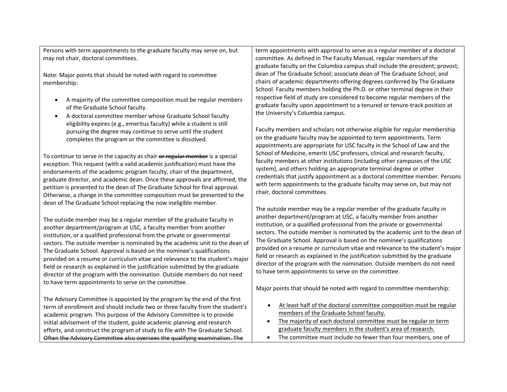| Persons with term appointments to the graduate faculty may serve on, but                                                                                                                                                                                                                                                                                                                                                                                                                                                                                                                                                                                                               | term appointments with approval to serve as a regular member of a doctoral                                                                                                                                                                                                                                                                                                                                                                                                                                                                                                                                                                                                                                                                                       |
|----------------------------------------------------------------------------------------------------------------------------------------------------------------------------------------------------------------------------------------------------------------------------------------------------------------------------------------------------------------------------------------------------------------------------------------------------------------------------------------------------------------------------------------------------------------------------------------------------------------------------------------------------------------------------------------|------------------------------------------------------------------------------------------------------------------------------------------------------------------------------------------------------------------------------------------------------------------------------------------------------------------------------------------------------------------------------------------------------------------------------------------------------------------------------------------------------------------------------------------------------------------------------------------------------------------------------------------------------------------------------------------------------------------------------------------------------------------|
| may not chair, doctoral committees.                                                                                                                                                                                                                                                                                                                                                                                                                                                                                                                                                                                                                                                    | committee. As defined in The Faculty Manual, regular members of the                                                                                                                                                                                                                                                                                                                                                                                                                                                                                                                                                                                                                                                                                              |
| Note: Major points that should be noted with regard to committee                                                                                                                                                                                                                                                                                                                                                                                                                                                                                                                                                                                                                       | graduate faculty on the Columbia campus shall include the president; provost;                                                                                                                                                                                                                                                                                                                                                                                                                                                                                                                                                                                                                                                                                    |
| membership:                                                                                                                                                                                                                                                                                                                                                                                                                                                                                                                                                                                                                                                                            | dean of The Graduate School; associate dean of The Graduate School; and                                                                                                                                                                                                                                                                                                                                                                                                                                                                                                                                                                                                                                                                                          |
| A majority of the committee composition must be regular members                                                                                                                                                                                                                                                                                                                                                                                                                                                                                                                                                                                                                        | chairs of academic departments offering degrees conferred by The Graduate                                                                                                                                                                                                                                                                                                                                                                                                                                                                                                                                                                                                                                                                                        |
| $\bullet$                                                                                                                                                                                                                                                                                                                                                                                                                                                                                                                                                                                                                                                                              | School. Faculty members holding the Ph.D. or other terminal degree in their                                                                                                                                                                                                                                                                                                                                                                                                                                                                                                                                                                                                                                                                                      |
| of the Graduate School faculty.                                                                                                                                                                                                                                                                                                                                                                                                                                                                                                                                                                                                                                                        | respective field of study are considered to become regular members of the                                                                                                                                                                                                                                                                                                                                                                                                                                                                                                                                                                                                                                                                                        |
| A doctoral committee member whose Graduate School faculty                                                                                                                                                                                                                                                                                                                                                                                                                                                                                                                                                                                                                              | graduate faculty upon appointment to a tenured or tenure-track position at                                                                                                                                                                                                                                                                                                                                                                                                                                                                                                                                                                                                                                                                                       |
| $\bullet$                                                                                                                                                                                                                                                                                                                                                                                                                                                                                                                                                                                                                                                                              | the University's Columbia campus.                                                                                                                                                                                                                                                                                                                                                                                                                                                                                                                                                                                                                                                                                                                                |
| eligibility expires (e.g., emeritus faculty) while a student is still                                                                                                                                                                                                                                                                                                                                                                                                                                                                                                                                                                                                                  | Faculty members and scholars not otherwise eligible for regular membership                                                                                                                                                                                                                                                                                                                                                                                                                                                                                                                                                                                                                                                                                       |
| pursuing the degree may continue to serve until the student                                                                                                                                                                                                                                                                                                                                                                                                                                                                                                                                                                                                                            | on the graduate faculty may be appointed to term appointments. Term                                                                                                                                                                                                                                                                                                                                                                                                                                                                                                                                                                                                                                                                                              |
| completes the program or the committee is dissolved.                                                                                                                                                                                                                                                                                                                                                                                                                                                                                                                                                                                                                                   | appointments are appropriate for USC faculty in the School of Law and the                                                                                                                                                                                                                                                                                                                                                                                                                                                                                                                                                                                                                                                                                        |
| To continue to serve in the capacity as chair or regular member is a special<br>exception. This request (with a valid academic justification) must have the<br>endorsements of the academic program faculty, chair of the department,<br>graduate director, and academic dean. Once these approvals are affirmed, the<br>petition is presented to the dean of The Graduate School for final approval.<br>Otherwise, a change in the committee composition must be presented to the<br>dean of The Graduate School replacing the now ineligible member.                                                                                                                                 | School of Medicine, emeriti USC professors, clinical and research faculty,<br>faculty members at other institutions (including other campuses of the USC<br>system), and others holding an appropriate terminal degree or other<br>credentials that justify appointment as a doctoral committee member. Persons<br>with term appointments to the graduate faculty may serve on, but may not<br>chair, doctoral committees.                                                                                                                                                                                                                                                                                                                                       |
| The outside member may be a regular member of the graduate faculty in<br>another department/program at USC, a faculty member from another<br>institution, or a qualified professional from the private or governmental<br>sectors. The outside member is nominated by the academic unit to the dean of<br>The Graduate School. Approval is based on the nominee's qualifications<br>provided on a resume or curriculum vitae and relevance to the student's major<br>field or research as explained in the justification submitted by the graduate<br>director of the program with the nomination. Outside members do not need<br>to have term appointments to serve on the committee. | The outside member may be a regular member of the graduate faculty in<br>another department/program at USC, a faculty member from another<br>institution, or a qualified professional from the private or governmental<br>sectors. The outside member is nominated by the academic unit to the dean of<br>The Graduate School. Approval is based on the nominee's qualifications<br>provided on a resume or curriculum vitae and relevance to the student's major<br>field or research as explained in the justification submitted by the graduate<br>director of the program with the nomination. Outside members do not need<br>to have term appointments to serve on the committee.<br>Major points that should be noted with regard to committee membership: |
| The Advisory Committee is appointed by the program by the end of the first<br>term of enrollment and should include two or three faculty from the student's<br>academic program. This purpose of the Advisory Committee is to provide<br>initial advisement of the student, guide academic planning and research<br>efforts, and construct the program of study to file with The Graduate School.<br>Often the Advisory Committee also oversees the qualifying examination. The                                                                                                                                                                                                        | At least half of the doctoral committee composition must be regular<br>$\bullet$<br>members of the Graduate School faculty.<br>The majority of each doctoral committee must be regular or term<br>$\bullet$<br>graduate faculty members in the student's area of research.<br>The committee must include no fewer than four members, one of<br>$\bullet$                                                                                                                                                                                                                                                                                                                                                                                                         |